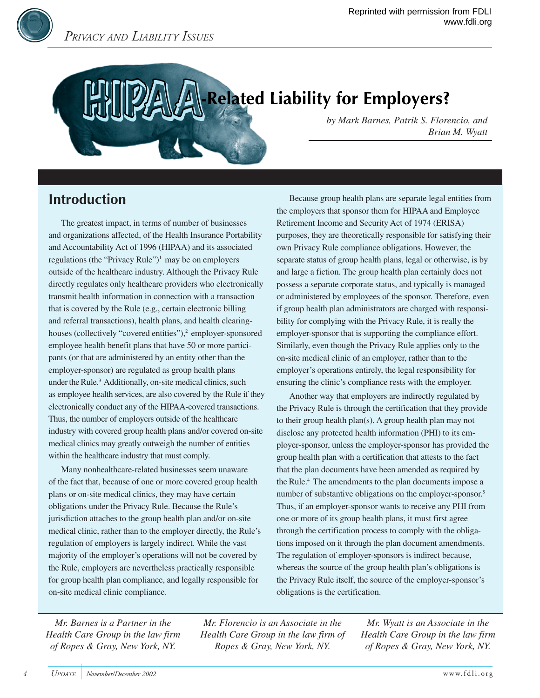# **Related Liability for Employers?**

*by Mark Barnes, Patrik S. Florencio, and Brian M. Wyatt*

# **Introduction**

The greatest impact, in terms of number of businesses and organizations affected, of the Health Insurance Portability and Accountability Act of 1996 (HIPAA) and its associated regulations (the "Privacy Rule")<sup>1</sup> may be on employers outside of the healthcare industry. Although the Privacy Rule directly regulates only healthcare providers who electronically transmit health information in connection with a transaction that is covered by the Rule (e.g., certain electronic billing and referral transactions), health plans, and health clearinghouses (collectively "covered entities"),<sup>2</sup> employer-sponsored employee health benefit plans that have 50 or more participants (or that are administered by an entity other than the employer-sponsor) are regulated as group health plans under the Rule.<sup>3</sup> Additionally, on-site medical clinics, such as employee health services, are also covered by the Rule if they electronically conduct any of the HIPAA-covered transactions. Thus, the number of employers outside of the healthcare industry with covered group health plans and/or covered on-site medical clinics may greatly outweigh the number of entities within the healthcare industry that must comply.

Many nonhealthcare-related businesses seem unaware of the fact that, because of one or more covered group health plans or on-site medical clinics, they may have certain obligations under the Privacy Rule. Because the Rule's jurisdiction attaches to the group health plan and/or on-site medical clinic, rather than to the employer directly, the Rule's regulation of employers is largely indirect. While the vast majority of the employer's operations will not be covered by the Rule, employers are nevertheless practically responsible for group health plan compliance, and legally responsible for on-site medical clinic compliance.

Because group health plans are separate legal entities from the employers that sponsor them for HIPAA and Employee Retirement Income and Security Act of 1974 (ERISA) purposes, they are theoretically responsible for satisfying their own Privacy Rule compliance obligations. However, the separate status of group health plans, legal or otherwise, is by and large a fiction. The group health plan certainly does not possess a separate corporate status, and typically is managed or administered by employees of the sponsor. Therefore, even if group health plan administrators are charged with responsibility for complying with the Privacy Rule, it is really the employer-sponsor that is supporting the compliance effort. Similarly, even though the Privacy Rule applies only to the on-site medical clinic of an employer, rather than to the employer's operations entirely, the legal responsibility for ensuring the clinic's compliance rests with the employer.

Another way that employers are indirectly regulated by the Privacy Rule is through the certification that they provide to their group health plan(s). A group health plan may not disclose any protected health information (PHI) to its employer-sponsor, unless the employer-sponsor has provided the group health plan with a certification that attests to the fact that the plan documents have been amended as required by the Rule.4 The amendments to the plan documents impose a number of substantive obligations on the employer-sponsor.5 Thus, if an employer-sponsor wants to receive any PHI from one or more of its group health plans, it must first agree through the certification process to comply with the obligations imposed on it through the plan document amendments. The regulation of employer-sponsors is indirect because, whereas the source of the group health plan's obligations is the Privacy Rule itself, the source of the employer-sponsor's obligations is the certification.

*Mr. Barnes is a Partner in the Health Care Group in the law firm of Ropes & Gray, New York, NY.*

*Mr. Florencio is an Associate in the Health Care Group in the law firm of Ropes & Gray, New York, NY.*

*Mr. Wyatt is an Associate in the Health Care Group in the law firm of Ropes & Gray, New York, NY.*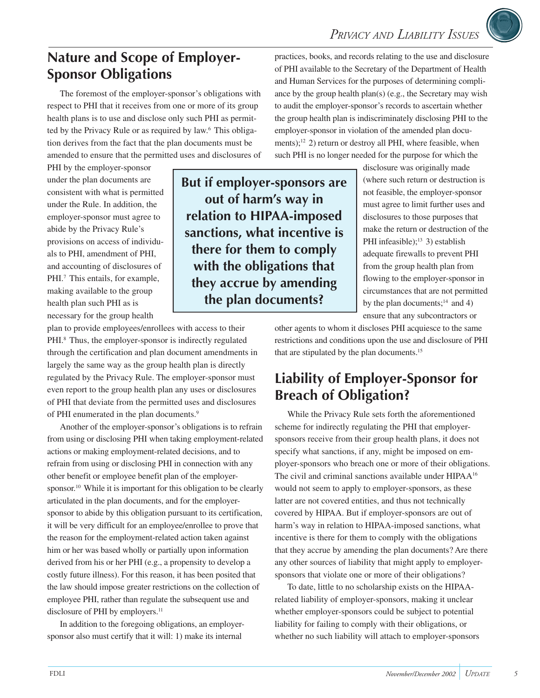# **Nature and Scope of Employer-Sponsor Obligations**

The foremost of the employer-sponsor's obligations with respect to PHI that it receives from one or more of its group health plans is to use and disclose only such PHI as permitted by the Privacy Rule or as required by law.<sup>6</sup> This obligation derives from the fact that the plan documents must be amended to ensure that the permitted uses and disclosures of

PHI by the employer-sponsor under the plan documents are consistent with what is permitted under the Rule. In addition, the employer-sponsor must agree to abide by the Privacy Rule's provisions on access of individuals to PHI, amendment of PHI, and accounting of disclosures of PHI.<sup>7</sup> This entails, for example, making available to the group health plan such PHI as is necessary for the group health

**But if employer-sponsors are out of harm's way in relation to HIPAA-imposed sanctions, what incentive is there for them to comply with the obligations that they accrue by amending the plan documents?**

practices, books, and records relating to the use and disclosure of PHI available to the Secretary of the Department of Health and Human Services for the purposes of determining compliance by the group health plan(s) (e.g., the Secretary may wish to audit the employer-sponsor's records to ascertain whether the group health plan is indiscriminately disclosing PHI to the employer-sponsor in violation of the amended plan documents);<sup>12</sup> 2) return or destroy all PHI, where feasible, when such PHI is no longer needed for the purpose for which the

> disclosure was originally made (where such return or destruction is not feasible, the employer-sponsor must agree to limit further uses and disclosures to those purposes that make the return or destruction of the PHI infeasible);<sup>13</sup> 3) establish adequate firewalls to prevent PHI from the group health plan from flowing to the employer-sponsor in circumstances that are not permitted by the plan documents; $^{14}$  and 4) ensure that any subcontractors or

plan to provide employees/enrollees with access to their PHI.<sup>8</sup> Thus, the employer-sponsor is indirectly regulated through the certification and plan document amendments in largely the same way as the group health plan is directly regulated by the Privacy Rule. The employer-sponsor must even report to the group health plan any uses or disclosures of PHI that deviate from the permitted uses and disclosures of PHI enumerated in the plan documents.<sup>9</sup>

Another of the employer-sponsor's obligations is to refrain from using or disclosing PHI when taking employment-related actions or making employment-related decisions, and to refrain from using or disclosing PHI in connection with any other benefit or employee benefit plan of the employersponsor.<sup>10</sup> While it is important for this obligation to be clearly articulated in the plan documents, and for the employersponsor to abide by this obligation pursuant to its certification, it will be very difficult for an employee/enrollee to prove that the reason for the employment-related action taken against him or her was based wholly or partially upon information derived from his or her PHI (e.g., a propensity to develop a costly future illness). For this reason, it has been posited that the law should impose greater restrictions on the collection of employee PHI, rather than regulate the subsequent use and disclosure of PHI by employers.<sup>11</sup>

In addition to the foregoing obligations, an employersponsor also must certify that it will: 1) make its internal

other agents to whom it discloses PHI acquiesce to the same restrictions and conditions upon the use and disclosure of PHI that are stipulated by the plan documents.<sup>15</sup>

# **Liability of Employer-Sponsor for Breach of Obligation?**

While the Privacy Rule sets forth the aforementioned scheme for indirectly regulating the PHI that employersponsors receive from their group health plans, it does not specify what sanctions, if any, might be imposed on employer-sponsors who breach one or more of their obligations. The civil and criminal sanctions available under HIPAA16 would not seem to apply to employer-sponsors, as these latter are not covered entities, and thus not technically covered by HIPAA. But if employer-sponsors are out of harm's way in relation to HIPAA-imposed sanctions, what incentive is there for them to comply with the obligations that they accrue by amending the plan documents? Are there any other sources of liability that might apply to employersponsors that violate one or more of their obligations?

To date, little to no scholarship exists on the HIPAArelated liability of employer-sponsors, making it unclear whether employer-sponsors could be subject to potential liability for failing to comply with their obligations, or whether no such liability will attach to employer-sponsors